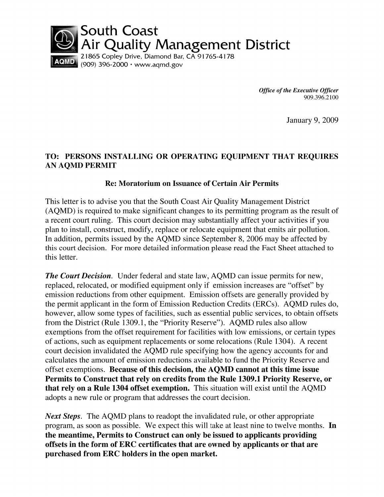

**Office of the Executive Officer** 909.396.2100

January 9, 2009

## TO: PERSONS INSTALLING OR OPERATING EQUIPMENT THAT REQUIRES **AN AQMD PERMIT**

### **Re: Moratorium on Issuance of Certain Air Permits**

This letter is to advise you that the South Coast Air Quality Management District (AQMD) is required to make significant changes to its permitting program as the result of a recent court ruling. This court decision may substantially affect your activities if you plan to install, construct, modify, replace or relocate equipment that emits air pollution. In addition, permits issued by the AQMD since September 8, 2006 may be affected by this court decision. For more detailed information please read the Fact Sheet attached to this letter.

**The Court Decision.** Under federal and state law, AQMD can issue permits for new, replaced, relocated, or modified equipment only if emission increases are "offset" by emission reductions from other equipment. Emission offsets are generally provided by the permit applicant in the form of Emission Reduction Credits (ERCs). AOMD rules do, however, allow some types of facilities, such as essential public services, to obtain offsets from the District (Rule 1309.1, the "Priority Reserve"). AQMD rules also allow exemptions from the offset requirement for facilities with low emissions, or certain types of actions, such as equipment replacements or some relocations (Rule 1304). A recent court decision invalidated the AQMD rule specifying how the agency accounts for and calculates the amount of emission reductions available to fund the Priority Reserve and offset exemptions. Because of this decision, the AQMD cannot at this time issue Permits to Construct that rely on credits from the Rule 1309.1 Priority Reserve, or that rely on a Rule 1304 offset exemption. This situation will exist until the AQMD adopts a new rule or program that addresses the court decision.

**Next Steps.** The AQMD plans to readopt the invalidated rule, or other appropriate program, as soon as possible. We expect this will take at least nine to twelve months. In the meantime, Permits to Construct can only be issued to applicants providing offsets in the form of ERC certificates that are owned by applicants or that are purchased from ERC holders in the open market.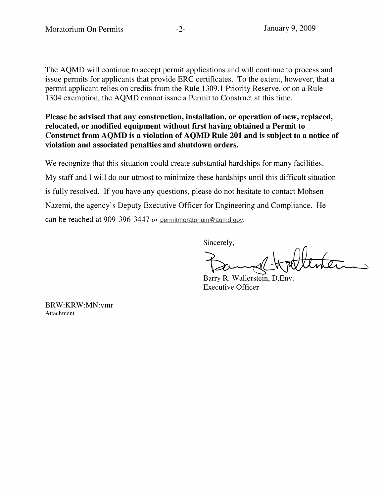The AQMD will continue to accept permit applications and will continue to process and issue permits for applicants that provide ERC certificates. To the extent, however, that a permit applicant relies on credits from the Rule 1309.1 Priority Reserve, or on a Rule 1304 exemption, the AQMD cannot issue a Permit to Construct at this time.

Please be advised that any construction, installation, or operation of new, replaced, relocated, or modified equipment without first having obtained a Permit to Construct from AQMD is a violation of AQMD Rule 201 and is subject to a notice of violation and associated penalties and shutdown orders.

We recognize that this situation could create substantial hardships for many facilities. My staff and I will do our utmost to minimize these hardships until this difficult situation is fully resolved. If you have any questions, please do not hesitate to contact Mohsen Nazemi, the agency's Deputy Executive Officer for Engineering and Compliance. He can be reached at 909-396-3447 or permitmoratorium@agmd.gov.

Sincerely,

Barry R. Wallerstein, D.Env. **Executive Officer** 

BRW:KRW:MN:vmr Attachment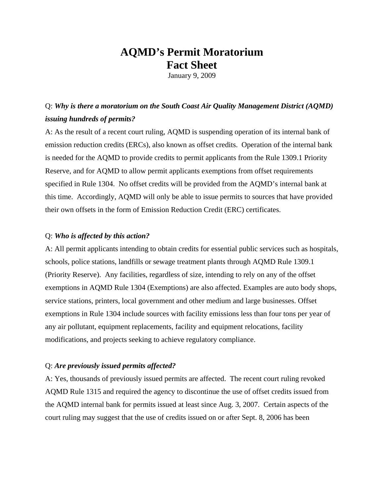# **AQMD's Permit Moratorium Fact Sheet**

January 9, 2009

# Q: *Why is there a moratorium on the South Coast Air Quality Management District (AQMD) issuing hundreds of permits?*

A: As the result of a recent court ruling, AQMD is suspending operation of its internal bank of emission reduction credits (ERCs), also known as offset credits. Operation of the internal bank is needed for the AQMD to provide credits to permit applicants from the Rule 1309.1 Priority Reserve, and for AQMD to allow permit applicants exemptions from offset requirements specified in Rule 1304. No offset credits will be provided from the AQMD's internal bank at this time. Accordingly, AQMD will only be able to issue permits to sources that have provided their own offsets in the form of Emission Reduction Credit (ERC) certificates.

#### Q: *Who is affected by this action?*

A: All permit applicants intending to obtain credits for essential public services such as hospitals, schools, police stations, landfills or sewage treatment plants through AQMD Rule 1309.1 (Priority Reserve). Any facilities, regardless of size, intending to rely on any of the offset exemptions in AQMD Rule 1304 (Exemptions) are also affected. Examples are auto body shops, service stations, printers, local government and other medium and large businesses. Offset exemptions in Rule 1304 include sources with facility emissions less than four tons per year of any air pollutant, equipment replacements, facility and equipment relocations, facility modifications, and projects seeking to achieve regulatory compliance.

#### Q: *Are previously issued permits affected?*

A: Yes, thousands of previously issued permits are affected. The recent court ruling revoked AQMD Rule 1315 and required the agency to discontinue the use of offset credits issued from the AQMD internal bank for permits issued at least since Aug. 3, 2007. Certain aspects of the court ruling may suggest that the use of credits issued on or after Sept. 8, 2006 has been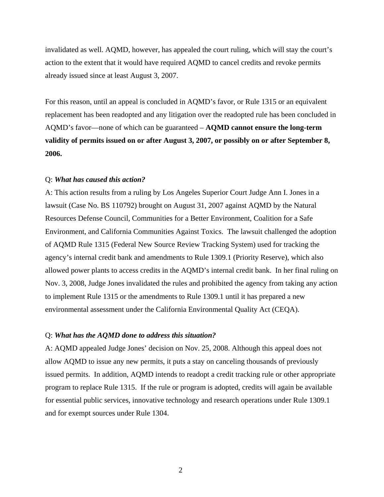invalidated as well. AQMD, however, has appealed the court ruling, which will stay the court's action to the extent that it would have required AQMD to cancel credits and revoke permits already issued since at least August 3, 2007.

For this reason, until an appeal is concluded in AQMD's favor, or Rule 1315 or an equivalent replacement has been readopted and any litigation over the readopted rule has been concluded in AQMD's favor—none of which can be guaranteed – **AQMD cannot ensure the long-term validity of permits issued on or after August 3, 2007, or possibly on or after September 8, 2006.**

#### Q: *What has caused this action?*

A: This action results from a ruling by Los Angeles Superior Court Judge Ann I. Jones in a lawsuit (Case No. BS 110792) brought on August 31, 2007 against AQMD by the Natural Resources Defense Council, Communities for a Better Environment, Coalition for a Safe Environment, and California Communities Against Toxics. The lawsuit challenged the adoption of AQMD Rule 1315 (Federal New Source Review Tracking System) used for tracking the agency's internal credit bank and amendments to Rule 1309.1 (Priority Reserve), which also allowed power plants to access credits in the AQMD's internal credit bank. In her final ruling on Nov. 3, 2008, Judge Jones invalidated the rules and prohibited the agency from taking any action to implement Rule 1315 or the amendments to Rule 1309.1 until it has prepared a new environmental assessment under the California Environmental Quality Act (CEQA).

#### Q: *What has the AQMD done to address this situation?*

A: AQMD appealed Judge Jones' decision on Nov. 25, 2008. Although this appeal does not allow AQMD to issue any new permits, it puts a stay on canceling thousands of previously issued permits. In addition, AQMD intends to readopt a credit tracking rule or other appropriate program to replace Rule 1315. If the rule or program is adopted, credits will again be available for essential public services, innovative technology and research operations under Rule 1309.1 and for exempt sources under Rule 1304.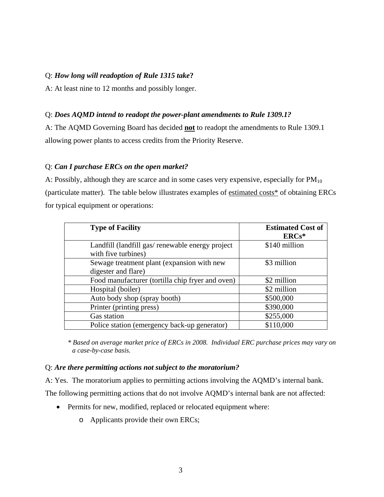#### Q: *How long will readoption of Rule 1315 take***?**

A: At least nine to 12 months and possibly longer.

#### Q: *Does AQMD intend to readopt the power-plant amendments to Rule 1309.1?*

A: The AQMD Governing Board has decided **not** to readopt the amendments to Rule 1309.1 allowing power plants to access credits from the Priority Reserve.

#### Q: *Can I purchase ERCs on the open market?*

A: Possibly, although they are scarce and in some cases very expensive, especially for  $PM_{10}$ (particulate matter). The table below illustrates examples of estimated costs\* of obtaining ERCs for typical equipment or operations:

| <b>Type of Facility</b>                                                 | <b>Estimated Cost of</b><br>$ERCs*$ |
|-------------------------------------------------------------------------|-------------------------------------|
| Landfill (landfill gas/ renewable energy project<br>with five turbines) | \$140 million                       |
| Sewage treatment plant (expansion with new<br>digester and flare)       | \$3 million                         |
| Food manufacturer (tortilla chip fryer and oven)                        | \$2 million                         |
| Hospital (boiler)                                                       | \$2 million                         |
| Auto body shop (spray booth)                                            | \$500,000                           |
| Printer (printing press)                                                | \$390,000                           |
| Gas station                                                             | \$255,000                           |
| Police station (emergency back-up generator)                            | \$110,000                           |

*\* Based on average market price of ERCs in 2008. Individual ERC purchase prices may vary on a case-by-case basis.* 

#### Q: *Are there permitting actions not subject to the moratorium?*

A: Yes. The moratorium applies to permitting actions involving the AQMD's internal bank.

The following permitting actions that do not involve AQMD's internal bank are not affected:

- Permits for new, modified, replaced or relocated equipment where:
	- o Applicants provide their own ERCs;